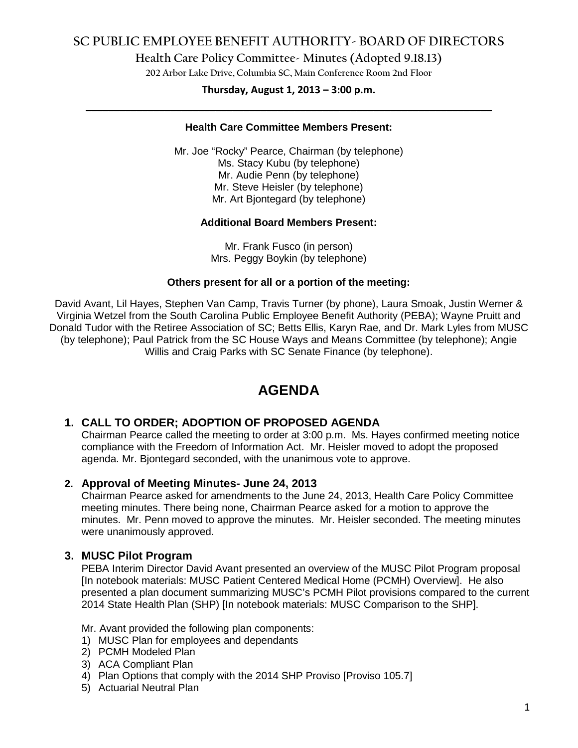**Health Care Policy Committee- Minutes (Adopted 9.18.13)**

**202 Arbor Lake Drive, Columbia SC, Main Conference Room 2nd Floor**

# **Thursday, August 1, 2013 – 3:00 p.m. \_\_\_\_\_\_\_\_\_\_\_\_\_\_\_\_\_\_\_\_\_\_\_\_\_\_\_\_\_\_\_\_\_\_\_\_\_\_\_\_\_\_\_\_\_\_\_\_\_\_\_\_\_\_\_\_\_\_\_\_\_\_\_\_\_\_\_\_\_\_\_\_**

### **Health Care Committee Members Present:**

Mr. Joe "Rocky" Pearce, Chairman (by telephone) Ms. Stacy Kubu (by telephone) Mr. Audie Penn (by telephone) Mr. Steve Heisler (by telephone) Mr. Art Bjontegard (by telephone)

#### **Additional Board Members Present:**

Mr. Frank Fusco (in person) Mrs. Peggy Boykin (by telephone)

#### **Others present for all or a portion of the meeting:**

David Avant, Lil Hayes, Stephen Van Camp, Travis Turner (by phone), Laura Smoak, Justin Werner & Virginia Wetzel from the South Carolina Public Employee Benefit Authority (PEBA); Wayne Pruitt and Donald Tudor with the Retiree Association of SC; Betts Ellis, Karyn Rae, and Dr. Mark Lyles from MUSC (by telephone); Paul Patrick from the SC House Ways and Means Committee (by telephone); Angie Willis and Craig Parks with SC Senate Finance (by telephone).

# **AGENDA**

## **1. CALL TO ORDER; ADOPTION OF PROPOSED AGENDA**

Chairman Pearce called the meeting to order at 3:00 p.m. Ms. Hayes confirmed meeting notice compliance with the Freedom of Information Act. Mr. Heisler moved to adopt the proposed agenda. Mr. Bjontegard seconded, with the unanimous vote to approve.

## **2. Approval of Meeting Minutes- June 24, 2013**

Chairman Pearce asked for amendments to the June 24, 2013, Health Care Policy Committee meeting minutes. There being none, Chairman Pearce asked for a motion to approve the minutes. Mr. Penn moved to approve the minutes. Mr. Heisler seconded. The meeting minutes were unanimously approved.

## **3. MUSC Pilot Program**

PEBA Interim Director David Avant presented an overview of the MUSC Pilot Program proposal [In notebook materials: MUSC Patient Centered Medical Home (PCMH) Overview]. He also presented a plan document summarizing MUSC's PCMH Pilot provisions compared to the current 2014 State Health Plan (SHP) [In notebook materials: MUSC Comparison to the SHP].

Mr. Avant provided the following plan components:

- 1) MUSC Plan for employees and dependants
- 2) PCMH Modeled Plan
- 3) ACA Compliant Plan
- 4) Plan Options that comply with the 2014 SHP Proviso [Proviso 105.7]
- 5) Actuarial Neutral Plan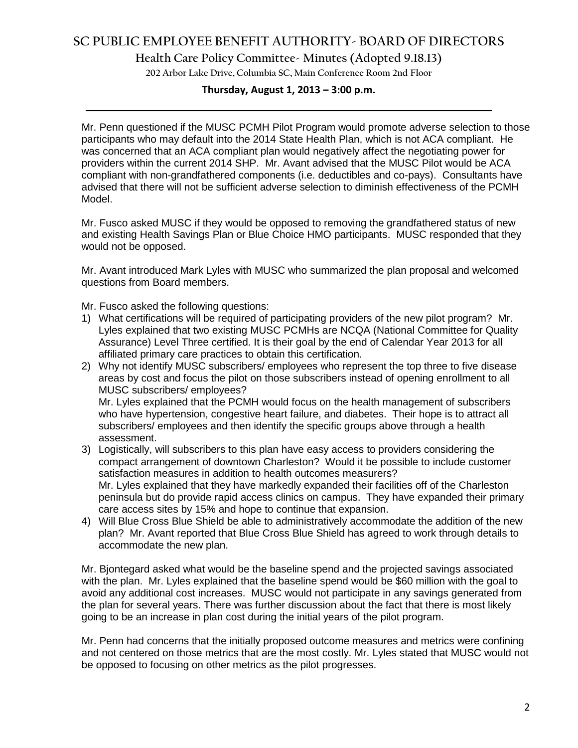**Health Care Policy Committee- Minutes (Adopted 9.18.13)**

**202 Arbor Lake Drive, Columbia SC, Main Conference Room 2nd Floor**

# **Thursday, August 1, 2013 – 3:00 p.m. \_\_\_\_\_\_\_\_\_\_\_\_\_\_\_\_\_\_\_\_\_\_\_\_\_\_\_\_\_\_\_\_\_\_\_\_\_\_\_\_\_\_\_\_\_\_\_\_\_\_\_\_\_\_\_\_\_\_\_\_\_\_\_\_\_\_\_\_\_\_\_\_**

Mr. Penn questioned if the MUSC PCMH Pilot Program would promote adverse selection to those participants who may default into the 2014 State Health Plan, which is not ACA compliant. He was concerned that an ACA compliant plan would negatively affect the negotiating power for providers within the current 2014 SHP. Mr. Avant advised that the MUSC Pilot would be ACA compliant with non-grandfathered components (i.e. deductibles and co-pays). Consultants have advised that there will not be sufficient adverse selection to diminish effectiveness of the PCMH Model.

Mr. Fusco asked MUSC if they would be opposed to removing the grandfathered status of new and existing Health Savings Plan or Blue Choice HMO participants. MUSC responded that they would not be opposed.

Mr. Avant introduced Mark Lyles with MUSC who summarized the plan proposal and welcomed questions from Board members.

Mr. Fusco asked the following questions:

- 1) What certifications will be required of participating providers of the new pilot program? Mr. Lyles explained that two existing MUSC PCMHs are NCQA (National Committee for Quality Assurance) Level Three certified. It is their goal by the end of Calendar Year 2013 for all affiliated primary care practices to obtain this certification.
- 2) Why not identify MUSC subscribers/ employees who represent the top three to five disease areas by cost and focus the pilot on those subscribers instead of opening enrollment to all MUSC subscribers/ employees? Mr. Lyles explained that the PCMH would focus on the health management of subscribers

who have hypertension, congestive heart failure, and diabetes. Their hope is to attract all subscribers/ employees and then identify the specific groups above through a health assessment.

- 3) Logistically, will subscribers to this plan have easy access to providers considering the compact arrangement of downtown Charleston? Would it be possible to include customer satisfaction measures in addition to health outcomes measurers? Mr. Lyles explained that they have markedly expanded their facilities off of the Charleston peninsula but do provide rapid access clinics on campus. They have expanded their primary care access sites by 15% and hope to continue that expansion.
- 4) Will Blue Cross Blue Shield be able to administratively accommodate the addition of the new plan? Mr. Avant reported that Blue Cross Blue Shield has agreed to work through details to accommodate the new plan.

Mr. Bjontegard asked what would be the baseline spend and the projected savings associated with the plan. Mr. Lyles explained that the baseline spend would be \$60 million with the goal to avoid any additional cost increases. MUSC would not participate in any savings generated from the plan for several years. There was further discussion about the fact that there is most likely going to be an increase in plan cost during the initial years of the pilot program.

Mr. Penn had concerns that the initially proposed outcome measures and metrics were confining and not centered on those metrics that are the most costly. Mr. Lyles stated that MUSC would not be opposed to focusing on other metrics as the pilot progresses.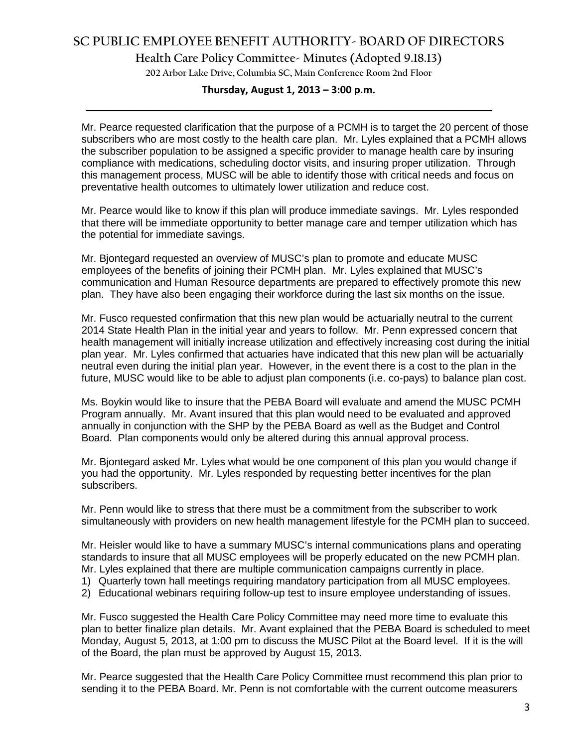**Health Care Policy Committee- Minutes (Adopted 9.18.13)**

**202 Arbor Lake Drive, Columbia SC, Main Conference Room 2nd Floor**

## **Thursday, August 1, 2013 – 3:00 p.m. \_\_\_\_\_\_\_\_\_\_\_\_\_\_\_\_\_\_\_\_\_\_\_\_\_\_\_\_\_\_\_\_\_\_\_\_\_\_\_\_\_\_\_\_\_\_\_\_\_\_\_\_\_\_\_\_\_\_\_\_\_\_\_\_\_\_\_\_\_\_\_\_**

Mr. Pearce requested clarification that the purpose of a PCMH is to target the 20 percent of those subscribers who are most costly to the health care plan. Mr. Lyles explained that a PCMH allows the subscriber population to be assigned a specific provider to manage health care by insuring compliance with medications, scheduling doctor visits, and insuring proper utilization. Through this management process, MUSC will be able to identify those with critical needs and focus on preventative health outcomes to ultimately lower utilization and reduce cost.

Mr. Pearce would like to know if this plan will produce immediate savings. Mr. Lyles responded that there will be immediate opportunity to better manage care and temper utilization which has the potential for immediate savings.

Mr. Bjontegard requested an overview of MUSC's plan to promote and educate MUSC employees of the benefits of joining their PCMH plan. Mr. Lyles explained that MUSC's communication and Human Resource departments are prepared to effectively promote this new plan. They have also been engaging their workforce during the last six months on the issue.

Mr. Fusco requested confirmation that this new plan would be actuarially neutral to the current 2014 State Health Plan in the initial year and years to follow. Mr. Penn expressed concern that health management will initially increase utilization and effectively increasing cost during the initial plan year. Mr. Lyles confirmed that actuaries have indicated that this new plan will be actuarially neutral even during the initial plan year. However, in the event there is a cost to the plan in the future, MUSC would like to be able to adjust plan components (i.e. co-pays) to balance plan cost.

Ms. Boykin would like to insure that the PEBA Board will evaluate and amend the MUSC PCMH Program annually. Mr. Avant insured that this plan would need to be evaluated and approved annually in conjunction with the SHP by the PEBA Board as well as the Budget and Control Board. Plan components would only be altered during this annual approval process.

Mr. Bjontegard asked Mr. Lyles what would be one component of this plan you would change if you had the opportunity. Mr. Lyles responded by requesting better incentives for the plan subscribers.

Mr. Penn would like to stress that there must be a commitment from the subscriber to work simultaneously with providers on new health management lifestyle for the PCMH plan to succeed.

Mr. Heisler would like to have a summary MUSC's internal communications plans and operating standards to insure that all MUSC employees will be properly educated on the new PCMH plan. Mr. Lyles explained that there are multiple communication campaigns currently in place.

- 1) Quarterly town hall meetings requiring mandatory participation from all MUSC employees.
- 2) Educational webinars requiring follow-up test to insure employee understanding of issues.

Mr. Fusco suggested the Health Care Policy Committee may need more time to evaluate this plan to better finalize plan details. Mr. Avant explained that the PEBA Board is scheduled to meet Monday, August 5, 2013, at 1:00 pm to discuss the MUSC Pilot at the Board level. If it is the will of the Board, the plan must be approved by August 15, 2013.

Mr. Pearce suggested that the Health Care Policy Committee must recommend this plan prior to sending it to the PEBA Board. Mr. Penn is not comfortable with the current outcome measurers